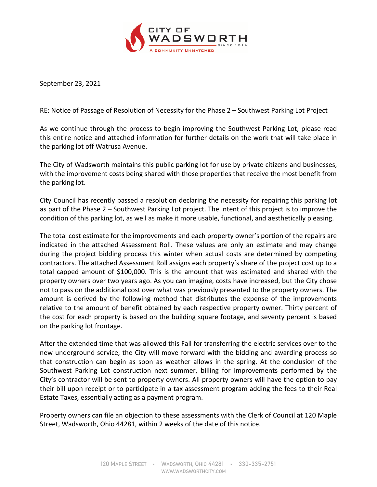

September 23, 2021

RE: Notice of Passage of Resolution of Necessity for the Phase 2 – Southwest Parking Lot Project

As we continue through the process to begin improving the Southwest Parking Lot, please read this entire notice and attached information for further details on the work that will take place in the parking lot off Watrusa Avenue.

The City of Wadsworth maintains this public parking lot for use by private citizens and businesses, with the improvement costs being shared with those properties that receive the most benefit from the parking lot.

City Council has recently passed a resolution declaring the necessity for repairing this parking lot as part of the Phase 2 – Southwest Parking Lot project. The intent of this project is to improve the condition of this parking lot, as well as make it more usable, functional, and aesthetically pleasing.

The total cost estimate for the improvements and each property owner's portion of the repairs are indicated in the attached Assessment Roll. These values are only an estimate and may change during the project bidding process this winter when actual costs are determined by competing contractors. The attached Assessment Roll assigns each property's share of the project cost up to a total capped amount of \$100,000. This is the amount that was estimated and shared with the property owners over two years ago. As you can imagine, costs have increased, but the City chose not to pass on the additional cost over what was previously presented to the property owners. The amount is derived by the following method that distributes the expense of the improvements relative to the amount of benefit obtained by each respective property owner. Thirty percent of the cost for each property is based on the building square footage, and seventy percent is based on the parking lot frontage.

After the extended time that was allowed this Fall for transferring the electric services over to the new underground service, the City will move forward with the bidding and awarding process so that construction can begin as soon as weather allows in the spring. At the conclusion of the Southwest Parking Lot construction next summer, billing for improvements performed by the City's contractor will be sent to property owners. All property owners will have the option to pay their bill upon receipt or to participate in a tax assessment program adding the fees to their Real Estate Taxes, essentially acting as a payment program.

Property owners can file an objection to these assessments with the Clerk of Council at 120 Maple Street, Wadsworth, Ohio 44281, within 2 weeks of the date of this notice.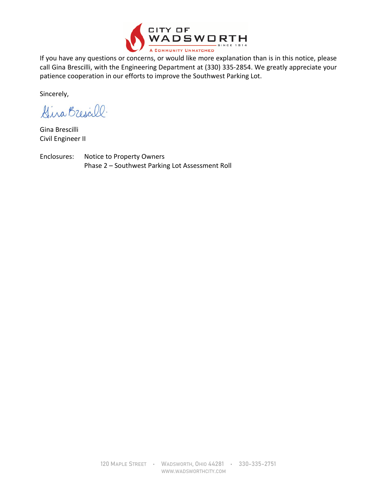

If you have any questions or concerns, or would like more explanation than is in this notice, please call Gina Brescilli, with the Engineering Department at (330) 335-2854. We greatly appreciate your patience cooperation in our efforts to improve the Southwest Parking Lot.

Sincerely,

Gina Brescill.

Gina Brescilli Civil Engineer II

Enclosures: Notice to Property Owners Phase 2 – Southwest Parking Lot Assessment Roll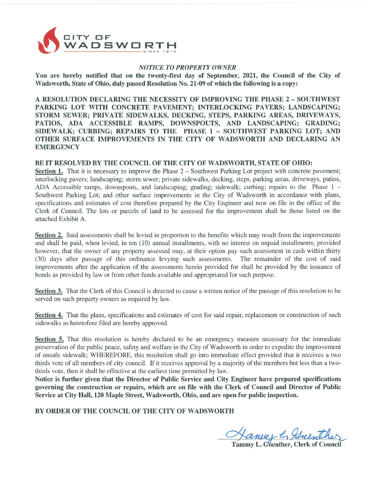

## **NOTICE TO PROPERTY OWNER**

You are hereby notified that on the twenty-first day of September, 2021, the Council of the City of Wadsworth, State of Ohio, duly passed Resolution No. 21-09 of which the following is a copy:

A RESOLUTION DECLARING THE NECESSITY OF IMPROVING THE PHASE 2 - SOUTHWEST PARKING LOT WITH CONCRETE PAVEMENT; INTERLOCKING PAVERS; LANDSCAPING; STORM SEWER; PRIVATE SIDEWALKS, DECKING, STEPS, PARKING AREAS, DRIVEWAYS, PATIOS, ADA ACCESSIBLE RAMPS, DOWNSPOUTS, AND LANDSCAPING; GRADING; SIDEWALK; CURBING; REPAIRS TO THE PHASE 1 - SOUTHWEST PARKING LOT; AND OTHER SURFACE IMPROVEMENTS IN THE CITY OF WADSWORTH AND DECLARING AN **EMERGENCY** 

## BE IT RESOLVED BY THE COUNCIL OF THE CITY OF WADSWORTH, STATE OF OHIO:

Section 1. That it is necessary to improve the Phase 2 – Southwest Parking Lot project with concrete pavement; interlocking pavers; landscaping; storm sewer; private sidewalks, decking, steps, parking areas, driveways, patios, ADA Accessible ramps, downspouts, and landscaping; grading; sidewalk; curbing; repairs to the Phase 1 – Southwest Parking Lot; and other surface improvements in the City of Wadsworth in accordance with plans, specifications and estimates of cost therefore prepared by the City Engineer and now on file in the office of the Clerk of Council. The lots or parcels of land to be assessed for the improvement shall be those listed on the attached Exhibit A.

Section 2. Said assessments shall be levied in proportion to the benefits which may result from the improvements and shall be paid, when levied, in ten (10) annual installments, with no interest on unpaid installments; provided however, that the owner of any property assessed may, at their option pay such assessment in cash within thirty (30) days after passage of this ordinance levying such assessments. The remainder of the cost of said improvements after the application of the assessments herein provided for shall be provided by the issuance of bonds as provided by law or from other funds available and appropriated for such purpose.

Section 3. That the Clerk of this Council is directed to cause a written notice of the passage of this resolution to be served on such property owners as required by law.

Section 4. That the plans, specifications and estimates of cost for said repair, replacement or construction of such sidewalks as heretofore filed are hereby approved.

Section 5. That this resolution is hereby declared to be an emergency measure necessary for the immediate preservation of the public peace, safety and welfare in the City of Wadsworth in order to expedite the improvement of unsafe sidewalk; WHEREFORE, this resolution shall go into immediate effect provided that it receives a two thirds vote of all members of city council. If it receives approval by a majority of the members but less than a twothirds vote, then it shall be effective at the earliest time permitted by law.

Notice is further given that the Director of Public Service and City Engineer have prepared specifications governing the construction or repairs, which are on file with the Clerk of Council and Director of Public Service at City Hall, 120 Maple Street, Wadsworth, Ohio, and are open for public inspection.

BY ORDER OF THE COUNCIL OF THE CITY OF WADSWORTH

Hanner & Guenther